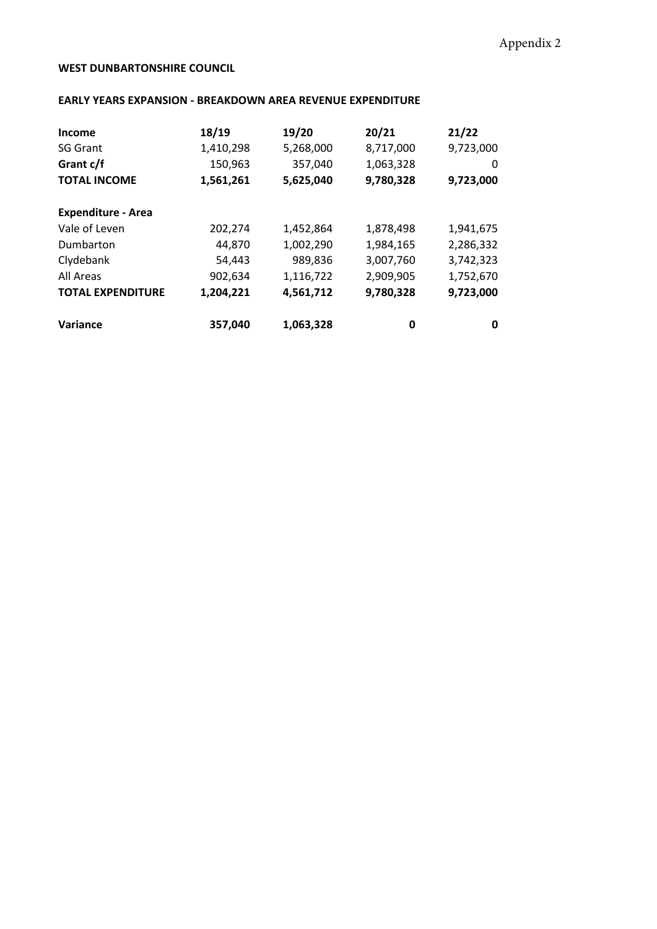## **WEST DUNBARTONSHIRE COUNCIL**

## **EARLY YEARS EXPANSION - BREAKDOWN AREA REVENUE EXPENDITURE**

| Income                    | 18/19     | 19/20     | 20/21     | 21/22     |
|---------------------------|-----------|-----------|-----------|-----------|
| <b>SG Grant</b>           | 1,410,298 | 5,268,000 | 8,717,000 | 9,723,000 |
| Grant c/f                 | 150,963   | 357,040   | 1,063,328 | 0         |
| <b>TOTAL INCOME</b>       | 1,561,261 | 5,625,040 | 9,780,328 | 9,723,000 |
| <b>Expenditure - Area</b> |           |           |           |           |
| Vale of Leven             | 202,274   | 1,452,864 | 1,878,498 | 1,941,675 |
| Dumbarton                 | 44,870    | 1,002,290 | 1,984,165 | 2,286,332 |
| Clydebank                 | 54,443    | 989,836   | 3,007,760 | 3,742,323 |
| All Areas                 | 902,634   | 1,116,722 | 2,909,905 | 1,752,670 |
| <b>TOTAL EXPENDITURE</b>  | 1,204,221 | 4,561,712 | 9,780,328 | 9,723,000 |
| <b>Variance</b>           | 357,040   | 1,063,328 | 0         | 0         |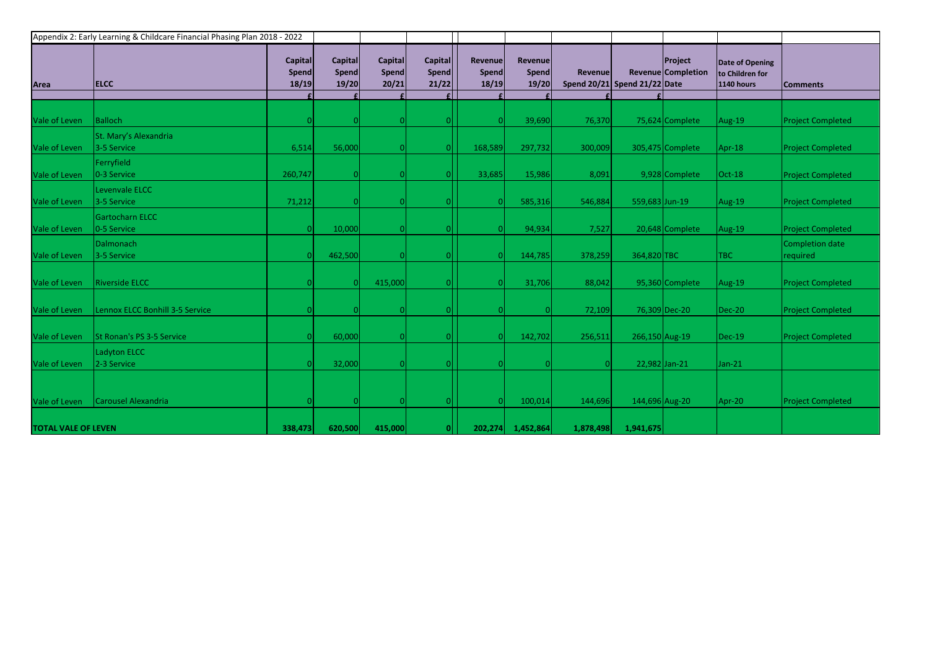|                            | Appendix 2: Early Learning & Childcare Financial Phasing Plan 2018 - 2022 |                                         |                                  |                           |                                  |                                  |                                  |           |                              |                                             |                                                                |                             |
|----------------------------|---------------------------------------------------------------------------|-----------------------------------------|----------------------------------|---------------------------|----------------------------------|----------------------------------|----------------------------------|-----------|------------------------------|---------------------------------------------|----------------------------------------------------------------|-----------------------------|
| Area                       | <b>ELCC</b>                                                               | <b>Capital</b><br><b>Spend</b><br>18/19 | Capital<br><b>Spend</b><br>19/20 | Capital<br>Spend<br>20/21 | Capital<br><b>Spend</b><br>21/22 | <b>Revenue</b><br>Spend<br>18/19 | Revenue<br><b>Spend</b><br>19/20 | Revenue   | Spend 20/21 Spend 21/22 Date | <b>Project</b><br><b>Revenue Completion</b> | <b>Date of Opening</b><br>to Children for<br><b>1140 hours</b> | <b>Comments</b>             |
|                            |                                                                           |                                         |                                  |                           |                                  |                                  |                                  |           |                              |                                             |                                                                |                             |
| Vale of Leven              | <b>Balloch</b>                                                            |                                         | -OI                              |                           |                                  |                                  | 39,690                           | 76,370    |                              | 75,624 Complete                             | Aug-19                                                         | <b>Project Completed</b>    |
| Vale of Leven              | St. Mary's Alexandria<br>3-5 Service                                      | 6,514                                   | 56,000                           |                           |                                  | 168,589                          | 297,732                          | 300,009   |                              | 305,475 Complete                            | $Apr-18$                                                       | <b>Project Completed</b>    |
| Vale of Leven              | Ferryfield<br>0-3 Service                                                 | 260,747                                 | 0                                |                           |                                  | 33,685                           | 15,986                           | 8,091     |                              | 9,928 Complete                              | Oct-18                                                         | <b>Project Completed</b>    |
| Vale of Leven              | Levenvale ELCC<br>3-5 Service                                             | 71,212                                  | 0                                |                           |                                  |                                  | 585,316                          | 546,884   | 559,683 Jun-19               |                                             | Aug-19                                                         | <b>Project Completed</b>    |
| Vale of Leven              | Gartocharn ELCC<br>0-5 Service                                            | 0                                       | 10,000                           |                           |                                  |                                  | 94,934                           | 7,527     |                              | 20,648 Complete                             | Aug-19                                                         | <b>Project Completed</b>    |
| Vale of Leven              | Dalmonach<br>3-5 Service                                                  |                                         | 462,500                          |                           |                                  |                                  | 144,785                          | 378,259   | 364,820 TBC                  |                                             | TBC                                                            | Completion date<br>required |
| Vale of Leven              | <b>Riverside ELCC</b>                                                     |                                         | 0                                | 415,000                   |                                  |                                  | 31,706                           | 88,042    |                              | 95,360 Complete                             | Aug-19                                                         | <b>Project Completed</b>    |
| Vale of Leven              | Lennox ELCC Bonhill 3-5 Service                                           |                                         | <sup>0</sup>                     |                           |                                  |                                  |                                  | 72,109    |                              | 76,309 Dec-20                               | $Dec-20$                                                       | <b>Project Completed</b>    |
| Vale of Leven              | St Ronan's PS 3-5 Service                                                 |                                         | 60,000                           |                           |                                  |                                  | 142,702                          | 256,511   | 266,150 Aug-19               |                                             | $\vert$ Dec-19                                                 | <b>Project Completed</b>    |
| Vale of Leven              | Ladyton ELCC<br>2-3 Service                                               |                                         | 32,000                           |                           |                                  |                                  |                                  |           | 22,982 Jan-21                |                                             | Jan-21                                                         |                             |
|                            |                                                                           |                                         |                                  |                           |                                  |                                  |                                  |           |                              |                                             |                                                                |                             |
| Vale of Leven              | Carousel Alexandria                                                       |                                         | 0                                |                           |                                  |                                  | 100,014                          | 144,696   | 144,696 Aug-20               |                                             | Apr-20                                                         | <b>Project Completed</b>    |
| <b>TOTAL VALE OF LEVEN</b> |                                                                           | 338,473                                 | 620,500                          | 415,000                   | 0                                | 202,274                          | 1,452,864                        | 1,878,498 | 1,941,675                    |                                             |                                                                |                             |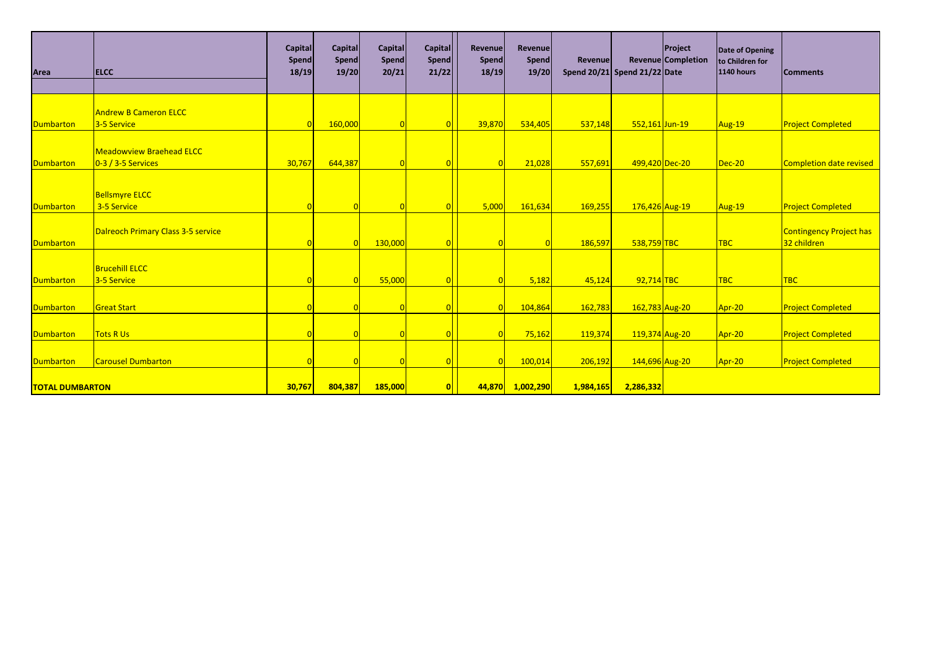| Area                   | <b>ELCC</b>                                           | <b>Capital</b><br><b>Spend</b><br>18/19 | <b>Capital</b><br>Spend<br>19/20 | Capital<br><b>Spend</b><br>20/21 | Capital<br>Spend<br>21/22 | Revenue<br>Spend<br>18/19 | Revenue<br>Spend<br>19/20 | Revenue<br>Spend $20/21$ Spend $21/22$ Date |                | Project<br>Revenue Completion | Date of Opening<br>to Children for<br><b>1140 hours</b> | <b>Comments</b>                               |
|------------------------|-------------------------------------------------------|-----------------------------------------|----------------------------------|----------------------------------|---------------------------|---------------------------|---------------------------|---------------------------------------------|----------------|-------------------------------|---------------------------------------------------------|-----------------------------------------------|
| Dumbarton              | <b>Andrew B Cameron ELCC</b><br>3-5 Service           | $\Omega$                                | 160,000                          |                                  |                           | 39,870                    | 534,405                   | 537,148                                     | 552,161 Jun-19 |                               | Aug-19                                                  | <b>Project Completed</b>                      |
| Dumbarton              | <b>Meadowview Braehead ELCC</b><br>$0-3/3-5$ Services | 30,767                                  | 644,387                          |                                  |                           | $\Omega$                  | 21,028                    | 557,691                                     | 499,420 Dec-20 |                               | $Dec-20$                                                | <b>Completion date revised</b>                |
| Dumbarton              | <b>Bellsmyre ELCC</b><br>3-5 Service                  | n                                       | $\Omega$                         | $\Omega$                         |                           | 5,000                     | 161,634                   | 169,255                                     | 176,426 Aug-19 |                               | Aug-19                                                  | <b>Project Completed</b>                      |
| Dumbarton              | Dalreoch Primary Class 3-5 service                    |                                         |                                  | 130,000                          |                           |                           |                           | 186,597                                     | 538,759 TBC    |                               | TBC                                                     | <b>Contingency Project has</b><br>32 children |
| Dumbarton              | <b>Brucehill ELCC</b><br>3-5 Service                  |                                         |                                  | 55,000                           |                           | $\overline{0}$            | 5,182                     | 45,124                                      | 92,714 TBC     |                               | <b>TBC</b>                                              | <b>TBC</b>                                    |
| Dumbarton              | <b>Great Start</b>                                    |                                         |                                  |                                  |                           | 0                         | 104,864                   | 162,783                                     | 162,783 Aug-20 |                               | Apr-20                                                  | <b>Project Completed</b>                      |
| Dumbarton              | <b>Tots R Us</b>                                      |                                         |                                  | $\Omega$                         |                           | $\overline{0}$            | 75,162                    | 119,374                                     | 119,374 Aug-20 |                               | Apr-20                                                  | <b>Project Completed</b>                      |
| Dumbarton              | <b>Carousel Dumbarton</b>                             |                                         |                                  | $\Omega$                         |                           | $\Omega$                  | 100,014                   | 206,192                                     | 144,696 Aug-20 |                               | Apr-20                                                  | <b>Project Completed</b>                      |
| <b>TOTAL DUMBARTON</b> |                                                       | 30,767                                  | 804,387                          | 185,000                          | 0                         | 44,870                    | 1,002,290                 | 1,984,165                                   | 2,286,332      |                               |                                                         |                                               |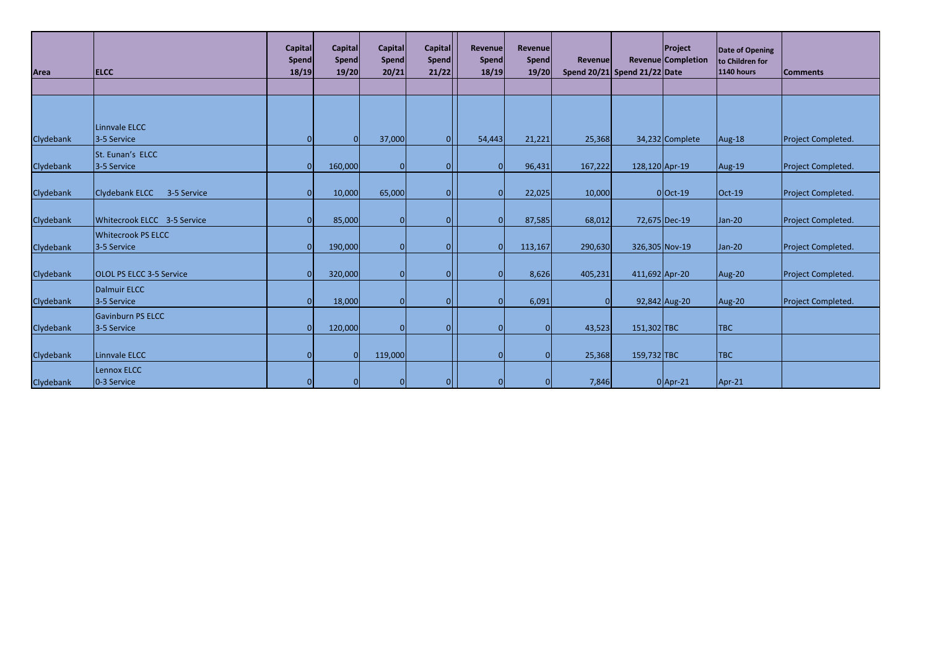| Area      | <b>ELCC</b>                              | <b>Capital</b><br>Spend<br>18/19 | <b>Capital</b><br><b>Spend</b><br>19/20 | Capital<br><b>Spend</b><br>20/21 | Capital<br>Spend<br>21/22 | Revenue<br><b>Spend</b><br>18/19 | Revenue<br>Spend<br>19/20 | Revenue<br>Spend $20/21$ Spend $21/22$ Date |                | Project<br>Revenue Completion | Date of Opening<br>to Children for<br><b>1140 hours</b> | <b>Comments</b>    |
|-----------|------------------------------------------|----------------------------------|-----------------------------------------|----------------------------------|---------------------------|----------------------------------|---------------------------|---------------------------------------------|----------------|-------------------------------|---------------------------------------------------------|--------------------|
|           |                                          |                                  |                                         |                                  |                           |                                  |                           |                                             |                |                               |                                                         |                    |
| Clydebank | Linnvale ELCC<br>3-5 Service             | $\Omega$                         | $\Omega$                                | 37,000                           |                           | 54,443                           | 21,221                    | 25,368                                      |                | 34,232 Complete               | Aug-18                                                  | Project Completed. |
| Clydebank | St. Eunan's ELCC<br>3-5 Service          | $\overline{0}$                   | 160,000                                 | $\mathbf 0$                      |                           |                                  | 96,431                    | 167,222                                     | 128,120 Apr-19 |                               | Aug-19                                                  | Project Completed. |
| Clydebank | Clydebank ELCC<br>3-5 Service            | $\Omega$                         | 10,000                                  | 65,000                           |                           | ΩI                               | 22,025                    | 10,000                                      |                | $0$ Oct-19                    | $Oct-19$                                                | Project Completed. |
| Clydebank | Whitecrook ELCC 3-5 Service              |                                  | 85,000                                  | $\Omega$                         |                           |                                  | 87,585                    | 68,012                                      |                | 72,675 Dec-19                 | Jan-20                                                  | Project Completed. |
| Clydebank | <b>Whitecrook PS ELCC</b><br>3-5 Service | $\Omega$                         | 190,000                                 | $\Omega$                         |                           |                                  | 113,167                   | 290,630                                     | 326,305 Nov-19 |                               | Jan-20                                                  | Project Completed. |
| Clydebank | <b>OLOL PS ELCC 3-5 Service</b>          | $\Omega$                         | 320,000                                 | $\mathbf{0}$                     |                           |                                  | 8,626                     | 405,231                                     | 411,692 Apr-20 |                               | Aug-20                                                  | Project Completed. |
| Clydebank | Dalmuir ELCC<br>3-5 Service              | $\Omega$                         | 18,000                                  | 0I                               |                           |                                  | 6,091                     | 0                                           |                | 92,842 Aug-20                 | Aug-20                                                  | Project Completed. |
| Clydebank | Gavinburn PS ELCC<br>3-5 Service         | $\Omega$                         | 120,000                                 | $\Omega$                         |                           |                                  |                           | 43,523                                      | 151,302 TBC    |                               | <b>TBC</b>                                              |                    |
| Clydebank | Linnvale ELCC                            |                                  | $\Omega$                                | 119,000                          |                           |                                  |                           | 25,368                                      | 159,732 TBC    |                               | <b>TBC</b>                                              |                    |
| Clydebank | Lennox ELCC<br>0-3 Service               |                                  |                                         | $\Omega$                         |                           |                                  |                           | 7,846                                       |                | $0$  Apr-21                   | $Apr-21$                                                |                    |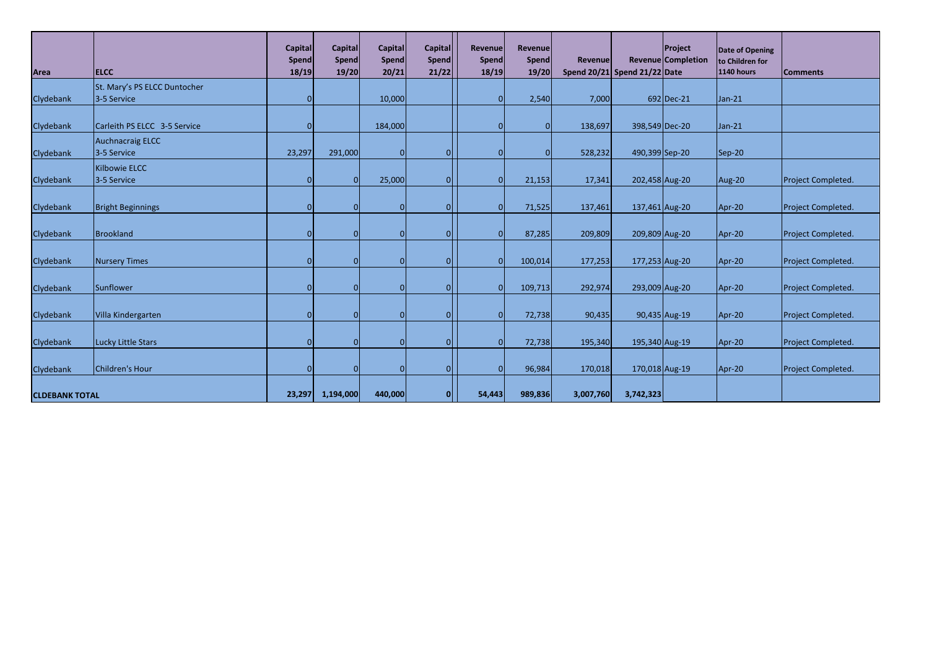| Area                  | <b>ELCC</b>                                 | <b>Capital</b><br><b>Spend</b><br>18/19 | <b>Capital</b><br><b>Spend</b><br>19/20 | <b>Capital</b><br>Spend<br>20/21 | <b>Capital</b><br>Spend<br>21/22 | Revenue<br>Spend<br>18/19 | <b>Revenue</b><br>Spend<br>19/20 | Revenue<br>Spend $20/21$ Spend $21/22$ Date |           | <b>Project</b><br>Revenue Completion | Date of Opening<br>to Children for<br><b>1140 hours</b> | <b>Comments</b>    |
|-----------------------|---------------------------------------------|-----------------------------------------|-----------------------------------------|----------------------------------|----------------------------------|---------------------------|----------------------------------|---------------------------------------------|-----------|--------------------------------------|---------------------------------------------------------|--------------------|
| Clydebank             | St. Mary's PS ELCC Duntocher<br>3-5 Service | $\Omega$                                |                                         | 10,000                           |                                  |                           | 2,540                            | 7,000                                       |           | 692 Dec-21                           | Jan-21                                                  |                    |
| Clydebank             | Carleith PS ELCC 3-5 Service                |                                         |                                         | 184,000                          |                                  |                           |                                  | 138,697                                     |           | 398,549 Dec-20                       | Jan-21                                                  |                    |
| Clydebank             | <b>Auchnacraig ELCC</b><br>3-5 Service      | 23,297                                  | 291,000                                 | $\mathbf 0$                      |                                  |                           |                                  | 528,232                                     |           | 490,399 Sep-20                       | Sep-20                                                  |                    |
| Clydebank             | <b>Kilbowie ELCC</b><br>3-5 Service         | $\Omega$                                | $\overline{0}$                          | 25,000                           |                                  |                           | 21,153                           | 17,341                                      |           | 202,458 Aug-20                       | Aug-20                                                  | Project Completed. |
| Clydebank             | <b>Bright Beginnings</b>                    |                                         | $\Omega$                                | $\Omega$                         |                                  |                           | 71,525                           | 137,461                                     |           | 137,461 Aug-20                       | Apr-20                                                  | Project Completed. |
| Clydebank             | Brookland                                   |                                         |                                         | $\Omega$                         |                                  |                           | 87,285                           | 209,809                                     |           | 209,809 Aug-20                       | Apr-20                                                  | Project Completed. |
| Clydebank             | <b>Nursery Times</b>                        |                                         | <sup>O</sup>                            | 0                                |                                  |                           | 100,014                          | 177,253                                     |           | 177,253 Aug-20                       | Apr-20                                                  | Project Completed. |
| Clydebank             | Sunflower                                   | $\Omega$                                |                                         | $\Omega$                         |                                  |                           | 109,713                          | 292,974                                     |           | 293,009 Aug-20                       | Apr-20                                                  | Project Completed. |
| Clydebank             | Villa Kindergarten                          | n                                       | $\Omega$                                | $\Omega$                         |                                  |                           | 72,738                           | 90,435                                      |           | 90,435 Aug-19                        | Apr-20                                                  | Project Completed. |
| Clydebank             | Lucky Little Stars                          | $\Omega$                                | $\Omega$                                | $\Omega$                         |                                  |                           | 72,738                           | 195,340                                     |           | 195,340 Aug-19                       | Apr-20                                                  | Project Completed. |
| Clydebank             | Children's Hour                             |                                         | <sup>O</sup>                            | 0                                |                                  |                           | 96,984                           | 170,018                                     |           | 170,018 Aug-19                       | Apr-20                                                  | Project Completed. |
| <b>CLDEBANK TOTAL</b> |                                             | 23,297                                  | 1,194,000                               | 440,000                          |                                  | 54,443                    | 989,836                          | 3,007,760                                   | 3,742,323 |                                      |                                                         |                    |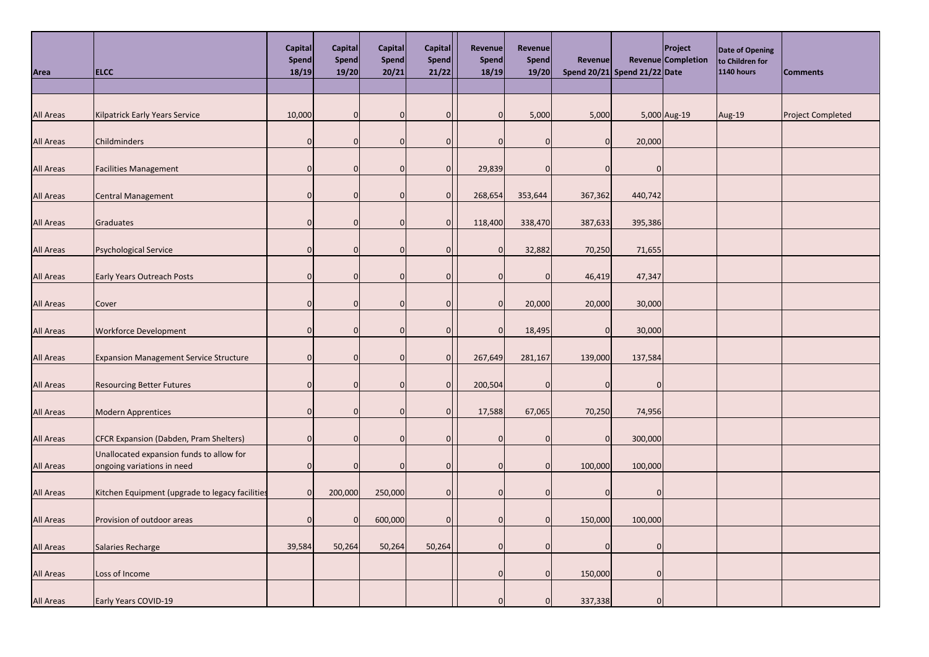| Area             | <b>ELCC</b>                                                            | Capital<br>Spend<br>18/19 | Capital<br>Spend<br>19/20 | Capital<br>Spend<br>20/21 | Capital<br>Spend<br>21/22 | <b>Revenue</b><br>Spend<br>18/19 | Revenue<br>Spend<br>19/20 | <b>Revenue</b> | Spend 20/21 Spend 21/22 Date | <b>Project</b><br>Revenue Completion | Date of Opening<br>to Children for<br><b>1140 hours</b> | <b>Comments</b>          |
|------------------|------------------------------------------------------------------------|---------------------------|---------------------------|---------------------------|---------------------------|----------------------------------|---------------------------|----------------|------------------------------|--------------------------------------|---------------------------------------------------------|--------------------------|
|                  |                                                                        |                           |                           |                           |                           |                                  |                           |                |                              |                                      |                                                         |                          |
| <b>All Areas</b> | <b>Kilpatrick Early Years Service</b>                                  | 10,000                    | $\Omega$                  | $\Omega$                  | $\Omega$                  | n                                | 5,000                     | 5,000          |                              | 5,000 Aug-19                         | Aug-19                                                  | <b>Project Completed</b> |
| <b>All Areas</b> | Childminders                                                           | $\overline{0}$            |                           |                           | <sup>0</sup>              |                                  | 0                         | 0              | 20,000                       |                                      |                                                         |                          |
| <b>All Areas</b> | <b>Facilities Management</b>                                           | $\overline{0}$            |                           | n                         | 0                         | 29,839                           | 0                         |                | <sup>0</sup>                 |                                      |                                                         |                          |
| <b>All Areas</b> | Central Management                                                     | $\Omega$                  |                           | $\Omega$                  | 0                         | 268,654                          | 353,644                   | 367,362        | 440,742                      |                                      |                                                         |                          |
| <b>All Areas</b> | Graduates                                                              | $\overline{0}$            |                           | n                         | $\overline{0}$            | 118,400                          | 338,470                   | 387,633        | 395,386                      |                                      |                                                         |                          |
| <b>All Areas</b> | <b>Psychological Service</b>                                           | 0                         |                           |                           | $\Omega$                  |                                  | 32,882                    | 70,250         | 71,655                       |                                      |                                                         |                          |
| <b>All Areas</b> | <b>Early Years Outreach Posts</b>                                      | $\Omega$                  |                           |                           | $\Omega$                  |                                  | $\Omega$                  | 46,419         | 47,347                       |                                      |                                                         |                          |
| <b>All Areas</b> | Cover                                                                  | 0                         |                           | $\Omega$                  | <sup>0</sup>              | n                                | 20,000                    | 20,000         | 30,000                       |                                      |                                                         |                          |
| <b>All Areas</b> | <b>Workforce Development</b>                                           | $\overline{0}$            | $\Omega$                  | $\Omega$                  | <sup>0</sup>              |                                  | 18,495                    | 0              | 30,000                       |                                      |                                                         |                          |
| <b>All Areas</b> | <b>Expansion Management Service Structure</b>                          | $\overline{0}$            |                           | $\Omega$                  | 0                         | 267,649                          | 281,167                   | 139,000        | 137,584                      |                                      |                                                         |                          |
| <b>All Areas</b> | <b>Resourcing Better Futures</b>                                       | $\overline{0}$            |                           |                           | 0                         | 200,504                          | 0                         |                |                              |                                      |                                                         |                          |
| <b>All Areas</b> | <b>Modern Apprentices</b>                                              | $\overline{0}$            | n                         |                           | 0                         | 17,588                           | 67,065                    | 70,250         | 74,956                       |                                      |                                                         |                          |
| <b>All Areas</b> | CFCR Expansion (Dabden, Pram Shelters)                                 | $\overline{0}$            |                           |                           | <sup>0</sup>              |                                  | <sup>0</sup>              | 0              | 300,000                      |                                      |                                                         |                          |
| <b>All Areas</b> | Unallocated expansion funds to allow for<br>ongoing variations in need | 0                         |                           |                           | 0                         |                                  | $\Omega$                  | 100,000        | 100,000                      |                                      |                                                         |                          |
| <b>All Areas</b> | Kitchen Equipment (upgrade to legacy facilities                        | $\Omega$                  | 200,000                   | 250,000                   | 0I                        |                                  | $\Omega$                  |                |                              |                                      |                                                         |                          |
| <b>All Areas</b> | Provision of outdoor areas                                             | $\Omega$                  |                           | 600,000                   | $\Omega$                  |                                  | $\Omega$                  | 150,000        | 100,000                      |                                      |                                                         |                          |
| <b>All Areas</b> | Salaries Recharge                                                      | 39,584                    | 50,264                    | 50,264                    | 50,264                    |                                  | 0l                        |                |                              |                                      |                                                         |                          |
| <b>All Areas</b> | Loss of Income                                                         |                           |                           |                           |                           |                                  | $\Omega$                  | 150,000        |                              |                                      |                                                         |                          |
| <b>All Areas</b> | Early Years COVID-19                                                   |                           |                           |                           |                           |                                  | $\Omega$                  | 337,338        |                              |                                      |                                                         |                          |